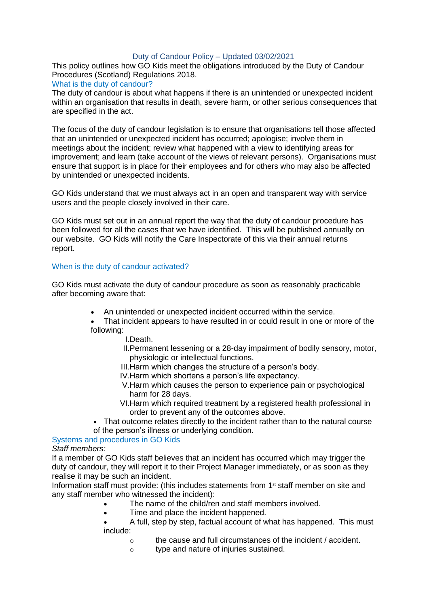# Duty of Candour Policy – Updated 03/02/2021

This policy outlines how GO Kids meet the obligations introduced by the Duty of Candour Procedures (Scotland) Regulations 2018.

## What is the duty of candour?

The duty of candour is about what happens if there is an unintended or unexpected incident within an organisation that results in death, severe harm, or other serious consequences that are specified in the act.

The focus of the duty of candour legislation is to ensure that organisations tell those affected that an unintended or unexpected incident has occurred; apologise; involve them in meetings about the incident; review what happened with a view to identifying areas for improvement; and learn (take account of the views of relevant persons). Organisations must ensure that support is in place for their employees and for others who may also be affected by unintended or unexpected incidents.

GO Kids understand that we must always act in an open and transparent way with service users and the people closely involved in their care.

GO Kids must set out in an annual report the way that the duty of candour procedure has been followed for all the cases that we have identified. This will be published annually on our website. GO Kids will notify the Care Inspectorate of this via their annual returns report.

# When is the duty of candour activated?

GO Kids must activate the duty of candour procedure as soon as reasonably practicable after becoming aware that:

- An unintended or unexpected incident occurred within the service.
- That incident appears to have resulted in or could result in one or more of the following:
	- I.Death.
	- II.Permanent lessening or a 28-day impairment of bodily sensory, motor, physiologic or intellectual functions.
	- III.Harm which changes the structure of a person's body.
	- IV.Harm which shortens a person's life expectancy.
	- V.Harm which causes the person to experience pain or psychological harm for 28 days.
	- VI.Harm which required treatment by a registered health professional in order to prevent any of the outcomes above.
- That outcome relates directly to the incident rather than to the natural course of the person's illness or underlying condition.

Systems and procedures in GO Kids

*Staff members:*

If a member of GO Kids staff believes that an incident has occurred which may trigger the duty of candour, they will report it to their Project Manager immediately, or as soon as they realise it may be such an incident.

Information staff must provide: (this includes statements from  $1<sup>st</sup>$  staff member on site and any staff member who witnessed the incident):

- The name of the child/ren and staff members involved.
- Time and place the incident happened.
- A full, step by step, factual account of what has happened. This must include:
	- o the cause and full circumstances of the incident / accident.
	- o type and nature of injuries sustained.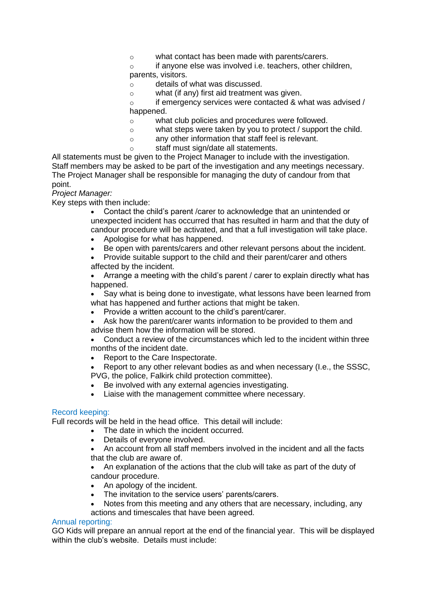o what contact has been made with parents/carers.

o if anyone else was involved i.e. teachers, other children, parents, visitors.

- o details of what was discussed.
- o what (if any) first aid treatment was given.

o if emergency services were contacted & what was advised / happened.

- o what club policies and procedures were followed.
- o what steps were taken by you to protect / support the child.
- o any other information that staff feel is relevant.
- o staff must sign/date all statements.

All statements must be given to the Project Manager to include with the investigation. Staff members may be asked to be part of the investigation and any meetings necessary. The Project Manager shall be responsible for managing the duty of candour from that point.

*Project Manager:*

Key steps with then include:

- Contact the child's parent /carer to acknowledge that an unintended or unexpected incident has occurred that has resulted in harm and that the duty of candour procedure will be activated, and that a full investigation will take place.
- Apologise for what has happened.
- Be open with parents/carers and other relevant persons about the incident.
- Provide suitable support to the child and their parent/carer and others affected by the incident.

• Arrange a meeting with the child's parent / carer to explain directly what has happened.

Say what is being done to investigate, what lessons have been learned from what has happened and further actions that might be taken.

- Provide a written account to the child's parent/carer.
- Ask how the parent/carer wants information to be provided to them and advise them how the information will be stored.

• Conduct a review of the circumstances which led to the incident within three months of the incident date.

• Report to the Care Inspectorate.

• Report to any other relevant bodies as and when necessary (I.e., the SSSC, PVG, the police, Falkirk child protection committee).

- Be involved with any external agencies investigating.
- Liaise with the management committee where necessary.

#### Record keeping:

Full records will be held in the head office. This detail will include:

- The date in which the incident occurred.
- Details of everyone involved.
- An account from all staff members involved in the incident and all the facts that the club are aware of.

• An explanation of the actions that the club will take as part of the duty of candour procedure.

- An apology of the incident.
- The invitation to the service users' parents/carers.
- Notes from this meeting and any others that are necessary, including, any actions and timescales that have been agreed.

#### Annual reporting:

GO Kids will prepare an annual report at the end of the financial year. This will be displayed within the club's website. Details must include: